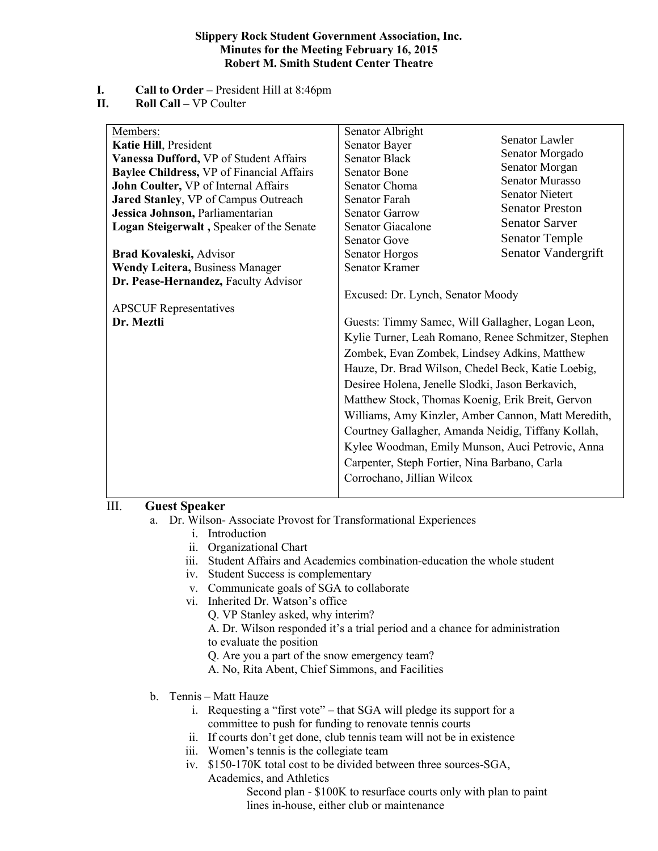#### **Slippery Rock Student Government Association, Inc. Minutes for the Meeting February 16, 2015 Robert M. Smith Student Center Theatre**

- **I. Call to Order –** President Hill at 8:46pm
- **II. Roll Call –** VP Coulter

| Members:<br>Katie Hill, President<br>Vanessa Dufford, VP of Student Affairs<br><b>Baylee Childress, VP of Financial Affairs</b><br>John Coulter, VP of Internal Affairs<br>Jared Stanley, VP of Campus Outreach<br>Jessica Johnson, Parliamentarian<br>Logan Steigerwalt, Speaker of the Senate<br>Brad Kovaleski, Advisor<br><b>Wendy Leitera, Business Manager</b><br>Dr. Pease-Hernandez, Faculty Advisor<br><b>APSCUF</b> Representatives<br>Dr. Meztli | Senator Albright<br>Senator Bayer<br><b>Senator Black</b><br><b>Senator Bone</b><br>Senator Choma<br>Senator Farah<br><b>Senator Garrow</b><br><b>Senator Giacalone</b><br><b>Senator Gove</b><br>Senator Horgos<br><b>Senator Kramer</b><br>Excused: Dr. Lynch, Senator Moody<br>Guests: Timmy Samec, Will Gallagher, Logan Leon,<br>Kylie Turner, Leah Romano, Renee Schmitzer, Stephen<br>Zombek, Evan Zombek, Lindsey Adkins, Matthew<br>Hauze, Dr. Brad Wilson, Chedel Beck, Katie Loebig,<br>Desiree Holena, Jenelle Slodki, Jason Berkavich,<br>Matthew Stock, Thomas Koenig, Erik Breit, Gervon<br>Williams, Amy Kinzler, Amber Cannon, Matt Meredith,<br>Courtney Gallagher, Amanda Neidig, Tiffany Kollah,<br>Kylee Woodman, Emily Munson, Auci Petrovic, Anna<br>Carpenter, Steph Fortier, Nina Barbano, Carla<br>Corrochano, Jillian Wilcox | <b>Senator Lawler</b><br>Senator Morgado<br>Senator Morgan<br><b>Senator Murasso</b><br><b>Senator Nietert</b><br><b>Senator Preston</b><br><b>Senator Sarver</b><br><b>Senator Temple</b><br>Senator Vandergrift |
|-------------------------------------------------------------------------------------------------------------------------------------------------------------------------------------------------------------------------------------------------------------------------------------------------------------------------------------------------------------------------------------------------------------------------------------------------------------|---------------------------------------------------------------------------------------------------------------------------------------------------------------------------------------------------------------------------------------------------------------------------------------------------------------------------------------------------------------------------------------------------------------------------------------------------------------------------------------------------------------------------------------------------------------------------------------------------------------------------------------------------------------------------------------------------------------------------------------------------------------------------------------------------------------------------------------------------------|-------------------------------------------------------------------------------------------------------------------------------------------------------------------------------------------------------------------|
|-------------------------------------------------------------------------------------------------------------------------------------------------------------------------------------------------------------------------------------------------------------------------------------------------------------------------------------------------------------------------------------------------------------------------------------------------------------|---------------------------------------------------------------------------------------------------------------------------------------------------------------------------------------------------------------------------------------------------------------------------------------------------------------------------------------------------------------------------------------------------------------------------------------------------------------------------------------------------------------------------------------------------------------------------------------------------------------------------------------------------------------------------------------------------------------------------------------------------------------------------------------------------------------------------------------------------------|-------------------------------------------------------------------------------------------------------------------------------------------------------------------------------------------------------------------|

# III. **Guest Speaker**

- a. Dr. Wilson- Associate Provost for Transformational Experiences
	- i. Introduction
	- ii. Organizational Chart
	- iii. Student Affairs and Academics combination-education the whole student
	- iv. Student Success is complementary
	- v. Communicate goals of SGA to collaborate
	- vi. Inherited Dr. Watson's office
		- Q. VP Stanley asked, why interim?

A. Dr. Wilson responded it's a trial period and a chance for administration to evaluate the position

- Q. Are you a part of the snow emergency team?
- A. No, Rita Abent, Chief Simmons, and Facilities
- b. Tennis Matt Hauze
	- i. Requesting a "first vote" that SGA will pledge its support for a committee to push for funding to renovate tennis courts
	- ii. If courts don't get done, club tennis team will not be in existence
	- iii. Women's tennis is the collegiate team
	- iv. \$150-170K total cost to be divided between three sources-SGA, Academics, and Athletics

Second plan - \$100K to resurface courts only with plan to paint lines in-house, either club or maintenance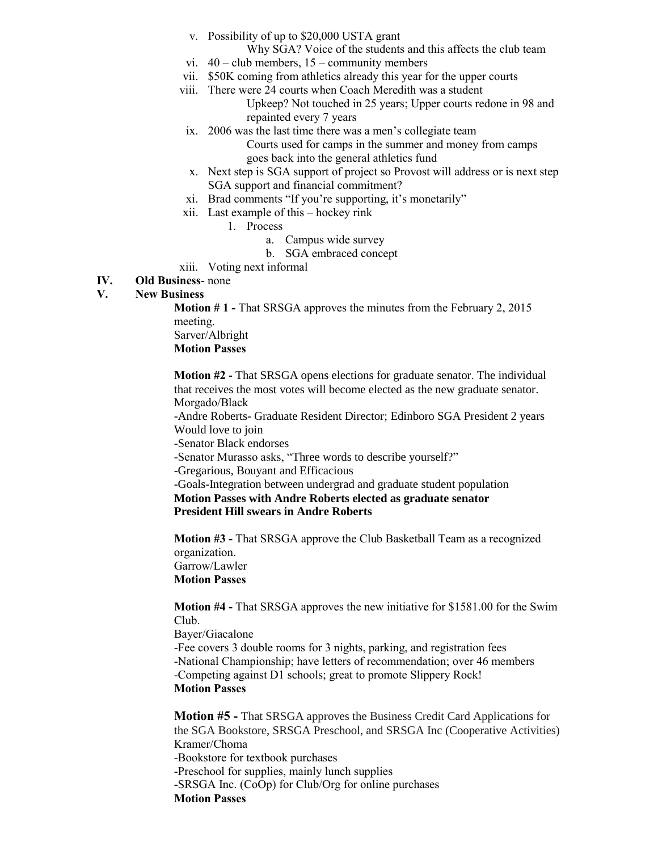- v. Possibility of up to \$20,000 USTA grant
	- Why SGA? Voice of the students and this affects the club team
- vi.  $40$  club members,  $15$  community members
- vii. \$50K coming from athletics already this year for the upper courts
- viii. There were 24 courts when Coach Meredith was a student
	- Upkeep? Not touched in 25 years; Upper courts redone in 98 and repainted every 7 years
- ix. 2006 was the last time there was a men's collegiate team
	- Courts used for camps in the summer and money from camps goes back into the general athletics fund
- x. Next step is SGA support of project so Provost will address or is next step SGA support and financial commitment?
- xi. Brad comments "If you're supporting, it's monetarily"
- xii. Last example of this hockey rink
	- 1. Process
		- a. Campus wide survey
		- b. SGA embraced concept
- xiii. Voting next informal

# **IV. Old Business**- none

# **V. New Business**

**Motion # 1 -** That SRSGA approves the minutes from the February 2, 2015 meeting. Sarver/Albright

**Motion Passes**

**Motion #2 -** That SRSGA opens elections for graduate senator. The individual that receives the most votes will become elected as the new graduate senator. Morgado/Black

-Andre Roberts- Graduate Resident Director; Edinboro SGA President 2 years Would love to join

-Senator Black endorses

-Senator Murasso asks, "Three words to describe yourself?"

-Gregarious, Bouyant and Efficacious

-Goals-Integration between undergrad and graduate student population

**Motion Passes with Andre Roberts elected as graduate senator President Hill swears in Andre Roberts**

**Motion #3 -** That SRSGA approve the Club Basketball Team as a recognized organization. Garrow/Lawler

**Motion Passes**

**Motion #4 -** That SRSGA approves the new initiative for \$1581.00 for the Swim Club.

Bayer/Giacalone -Fee covers 3 double rooms for 3 nights, parking, and registration fees -National Championship; have letters of recommendation; over 46 members -Competing against D1 schools; great to promote Slippery Rock! **Motion Passes**

**Motion #5 -** That SRSGA approves the Business Credit Card Applications for the SGA Bookstore, SRSGA Preschool, and SRSGA Inc (Cooperative Activities) Kramer/Choma -Bookstore for textbook purchases -Preschool for supplies, mainly lunch supplies -SRSGA Inc. (CoOp) for Club/Org for online purchases **Motion Passes**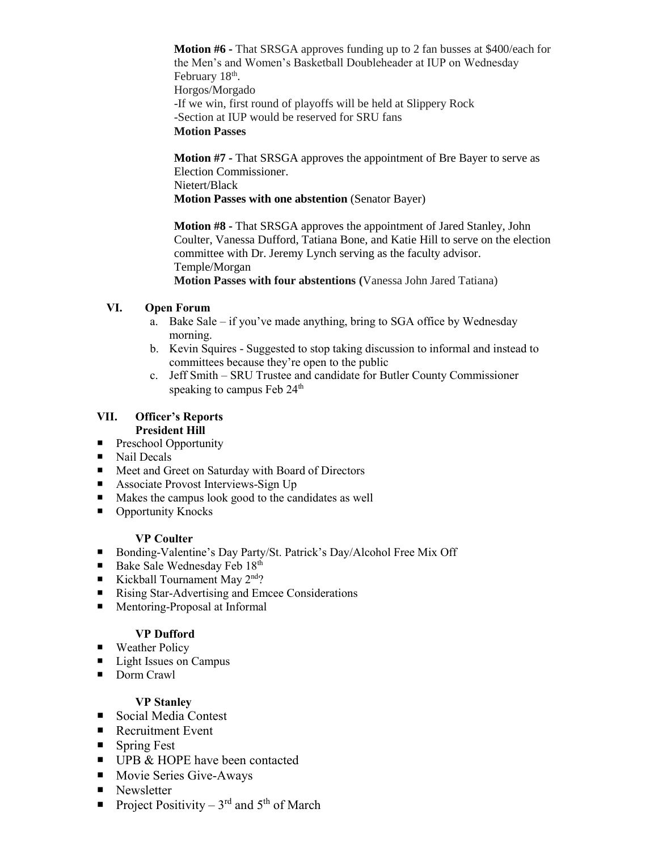**Motion #6 -** That SRSGA approves funding up to 2 fan busses at \$400/each for the Men's and Women's Basketball Doubleheader at IUP on Wednesday February 18<sup>th</sup>. Horgos/Morgado -If we win, first round of playoffs will be held at Slippery Rock -Section at IUP would be reserved for SRU fans **Motion Passes**

**Motion #7 -** That SRSGA approves the appointment of Bre Bayer to serve as Election Commissioner. Nietert/Black **Motion Passes with one abstention** (Senator Bayer)

**Motion #8 -** That SRSGA approves the appointment of Jared Stanley, John Coulter, Vanessa Dufford, Tatiana Bone, and Katie Hill to serve on the election committee with Dr. Jeremy Lynch serving as the faculty advisor. Temple/Morgan **Motion Passes with four abstentions (**Vanessa John Jared Tatiana)

# **VI. Open Forum**

- a. Bake Sale if you've made anything, bring to SGA office by Wednesday morning.
- b. Kevin Squires Suggested to stop taking discussion to informal and instead to committees because they're open to the public
- c. Jeff Smith SRU Trustee and candidate for Butler County Commissioner speaking to campus Feb 24<sup>th</sup>

#### **VII. Officer's Reports President Hill**

- **Preschool Opportunity**
- Nail Decals
- Meet and Greet on Saturday with Board of Directors
- Associate Provost Interviews-Sign Up
- Makes the campus look good to the candidates as well
- Opportunity Knocks

### **VP Coulter**

- Bonding-Valentine's Day Party/St. Patrick's Day/Alcohol Free Mix Off
- Bake Sale Wednesday Feb 18th
- Kickball Tournament May  $2^{nd}$ ?
- Rising Star-Advertising and Emcee Considerations
- Mentoring-Proposal at Informal

### **VP Dufford**

- **Weather Policy**
- Light Issues on Campus
- Dorm Crawl

### **VP Stanley**

- Social Media Contest
- Recruitment Event
- Spring Fest
- UPB & HOPE have been contacted
- Movie Series Give-Aways
- Newsletter
- Project Positivity  $3<sup>rd</sup>$  and  $5<sup>th</sup>$  of March